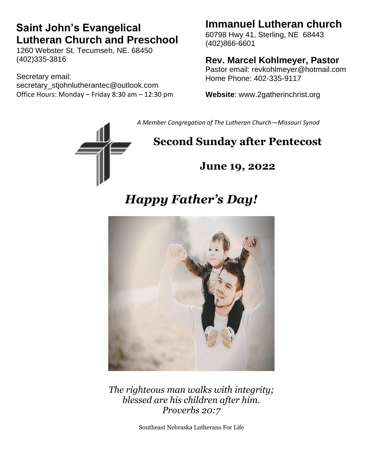# **Saint John's Evangelical Lutheran Church and Preschool**

1260 Webster St. Tecumseh, NE. 68450 (402)335-3816

Secretary email: secretary\_stjohnlutherantec@outlook.com Office Hours: Monday – Friday 8:30 am – 12:30 pm

## **Immanuel Lutheran church**

60798 Hwy 41, Sterling, NE 68443 (402)866-6601

#### **Rev. Marcel Kohlmeyer, Pastor**

Pastor email: revkohlmeyer@hotmail.com Home Phone: 402-335-9117

**Website**: www.2gatherinchrist.org

*A Member Congregation of The Lutheran Church—Missouri Synod*

# **Second Sunday after Pentecost**

**June 19, 2022**

# *Happy Father's Day!*



*The righteous man walks with integrity; blessed are his children after him. Proverbs 20:7*

Southeast Nebraska Lutherans For Life

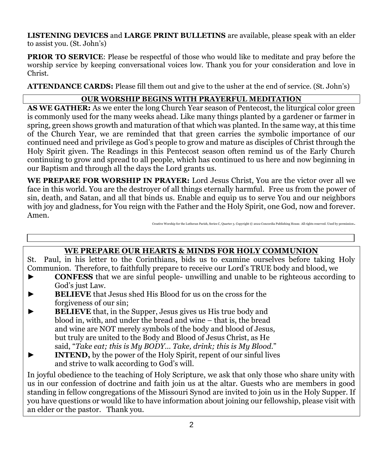**LISTENING DEVICES** and **LARGE PRINT BULLETINS** are available, please speak with an elder to assist you. (St. John's)

**PRIOR TO SERVICE:** Please be respectful of those who would like to meditate and pray before the worship service by keeping conversational voices low. Thank you for your consideration and love in Christ.

**ATTENDANCE CARDS:** Please fill them out and give to the usher at the end of service. (St. John's)

#### **OUR WORSHIP BEGINS WITH PRAYERFUL MEDITATION**

**AS WE GATHER:** As we enter the long Church Year season of Pentecost, the liturgical color green is commonly used for the many weeks ahead. Like many things planted by a gardener or farmer in spring, green shows growth and maturation of that which was planted. In the same way, at this time of the Church Year, we are reminded that that green carries the symbolic importance of our continued need and privilege as God's people to grow and mature as disciples of Christ through the Holy Spirit given. The Readings in this Pentecost season often remind us of the Early Church continuing to grow and spread to all people, which has continued to us here and now beginning in our Baptism and through all the days the Lord grants us.

**WE PREPARE FOR WORSHIP IN PRAYER:** Lord Jesus Christ, You are the victor over all we face in this world. You are the destroyer of all things eternally harmful. Free us from the power of sin, death, and Satan, and all that binds us. Enable and equip us to serve You and our neighbors with joy and gladness, for You reign with the Father and the Holy Spirit, one God, now and forever. Amen.

#### Creative Worship for the Lutheran Parish, Series C, Quarter 3. Copyright © 2022 Concordia Publishing House. All rights re

#### **WE PREPARE OUR HEARTS & MINDS FOR HOLY COMMUNION**

St. Paul, in his letter to the Corinthians, bids us to examine ourselves before taking Holy Communion. Therefore, to faithfully prepare to receive our Lord's TRUE body and blood, we

- ► **CONFESS** that we are sinful people- unwilling and unable to be righteous according to God's just Law.
- **BELIEVE** that Jesus shed His Blood for us on the cross for the forgiveness of our sin;
- **BELIEVE** that, in the Supper, Jesus gives us His true body and blood in, with, and under the bread and wine – that is, the bread and wine are NOT merely symbols of the body and blood of Jesus, but truly are united to the Body and Blood of Jesus Christ, as He said, "*Take eat; this is My BODY… Take, drink; this is My Blood*."
- **INTEND,** by the power of the Holy Spirit, repent of our sinful lives and strive to walk according to God's will.

In joyful obedience to the teaching of Holy Scripture, we ask that only those who share unity with us in our confession of doctrine and faith join us at the altar. Guests who are members in good standing in fellow congregations of the Missouri Synod are invited to join us in the Holy Supper. If you have questions or would like to have information about joining our fellowship, please visit with an elder or the pastor. Thank you.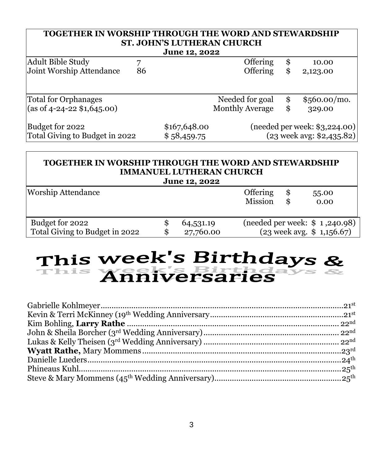#### **TOGETHER IN WORSHIP THROUGH THE WORD AND STEWARDSHIP ST. JOHN'S LUTHERAN CHURCH**

| <b>June 12, 2022</b>               |    |              |                        |     |                                    |
|------------------------------------|----|--------------|------------------------|-----|------------------------------------|
| Adult Bible Study                  |    |              | Offering               | \$. | 10.00                              |
| Joint Worship Attendance           | 86 |              | Offering               | \$. | 2,123.00                           |
|                                    |    |              |                        |     |                                    |
| <b>Total for Orphanages</b>        |    |              | Needed for goal        | \$  | $$560.00/mol$ .                    |
| $\vert$ (as of 4-24-22 \$1,645.00) |    |              | <b>Monthly Average</b> |     | 329.00                             |
| Budget for 2022                    |    | \$167,648.00 |                        |     | $(n$ eeded per week: \$3,224.00)   |
| Total Giving to Budget in 2022     |    | \$58,459.75  |                        |     | $(23 \text{ week avg}: $2,435.82)$ |

#### **TOGETHER IN WORSHIP THROUGH THE WORD AND STEWARDSHIP IMMANUEL LUTHERAN CHURCH June 12, 2022**

| <b>Worship Attendance</b>                         |                        | <b>Offering</b><br>55.00<br>Mission<br>0.00                            |
|---------------------------------------------------|------------------------|------------------------------------------------------------------------|
| Budget for 2022<br>Total Giving to Budget in 2022 | 64,531.19<br>27,760.00 | (needed per week: \$ 1,240.98)<br>$(23 \text{ week avg. } $ 1,156.67)$ |

# This week's Birthdays &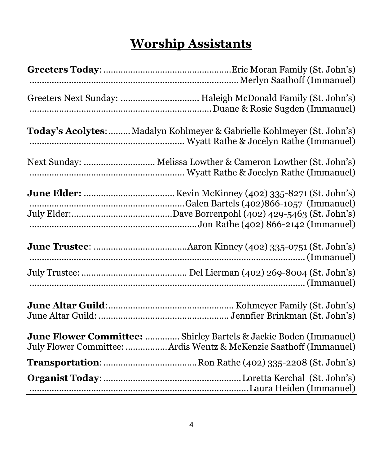# **Worship Assistants**

| Greeters Next Sunday:  Haleigh McDonald Family (St. John's)                                                                            |
|----------------------------------------------------------------------------------------------------------------------------------------|
| Today's Acolytes:  Madalyn Kohlmeyer & Gabrielle Kohlmeyer (St. John's)                                                                |
| Next Sunday:  Melissa Lowther & Cameron Lowther (St. John's)                                                                           |
|                                                                                                                                        |
|                                                                                                                                        |
|                                                                                                                                        |
|                                                                                                                                        |
| June Flower Committee:  Shirley Bartels & Jackie Boden (Immanuel)<br>July Flower Committee: Ardis Wentz & McKenzie Saathoff (Immanuel) |
|                                                                                                                                        |
|                                                                                                                                        |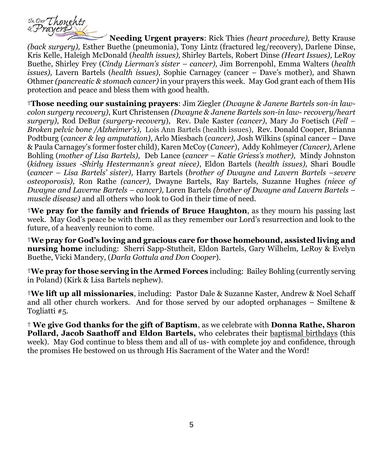

**Needing Urgent prayers**: Rick Thies *(heart procedure),* Betty Krause *(back surgery),* Esther Buethe (pneumonia), Tony Lintz (fractured leg/recovery), Darlene Dinse, Kris Kelle, Haleigh McDonald (*health issues),* Shirley Bartels, Robert Dinse *(Heart Issues),* LeRoy Buethe, Shirley Frey (*Cindy Lierman's sister – cancer),* Jim Borrenpohl, Emma Walters (*health issues),* Lavern Bartels (*health issues),* Sophie Carnagey (cancer – Dave's mother), and Shawn Othmer *(pancreatic & stomach cancer)* in your prayers this week. May God grant each of them His protection and peace and bless them with good health.

†**Those needing our sustaining prayers**: Jim Ziegler *(Dwayne & Janene Bartels son-in lawcolon surgery recovery),* Kurt Christensen *(Dwayne & Janene Bartels son-in law- recovery/heart surgery),* Rod DeBur *(surgery-recovery*), Rev. Dale Kaster *(cancer)*, Mary Jo Foetisch (*Fell – Broken pelvic bone /Alzheimer's),* Lois Ann Bartels (health issues), Rev. Donald Cooper, Brianna Podtburg (*cancer & leg amputation),* Arlo Miesbach (*cancer),* Josh Wilkins (spinal cancer – Dave & Paula Carnagey's former foster child), Karen McCoy (*Cancer*), Addy Kohlmeyer *(Cancer),* Arlene Bohling (*mother of Lisa Bartels),* Deb Lance (*cancer – Katie Griess's mother),* Mindy Johnston (*kidney issues -Shirly Hestermann's great niece)*, Eldon Bartels (*health issues),* Shari Boudle (*cancer – Lisa Bartels' sister),* Harry Bartels (*brother of Dwayne and Lavern Bartels –severe osteoporosis),* Ron Rathe *(cancer),* Dwayne Bartels, Ray Bartels*,* Suzanne Hughes *(niece of Dwayne and Laverne Bartels – cancer),* Loren Bartels *(brother of Dwayne and Lavern Bartels – muscle disease)* and all others who look to God in their time of need.

†**We pray for the family and friends of Bruce Haughton**, as they mourn his passing last week. May God's peace be with them all as they remember our Lord's resurrection and look to the future, of a heavenly reunion to come.

†**We pray for God's loving and gracious care for those homebound, assisted living and nursing home** including: Sherri Sapp-Stutheit, Eldon Bartels, Gary Wilhelm, LeRoy & Evelyn Buethe, Vicki Mandery, (*Darla Gottula and Don Cooper*).

†**We pray for those serving in the Armed Forces** including: Bailey Bohling (currently serving in Poland) (Kirk & Lisa Bartels nephew).

†**We lift up all missionaries**, including: Pastor Dale & Suzanne Kaster, Andrew & Noel Schaff and all other church workers. And for those served by our adopted orphanages – Smiltene & Togliatti #5.

† **We give God thanks for the gift of Baptism**, as we celebrate with **Donna Rathe, Sharon Pollard, Jacob Saathoff and Eldon Bartels,** who celebrates their baptismal birthdays (this week). May God continue to bless them and all of us- with complete joy and confidence, through the promises He bestowed on us through His Sacrament of the Water and the Word!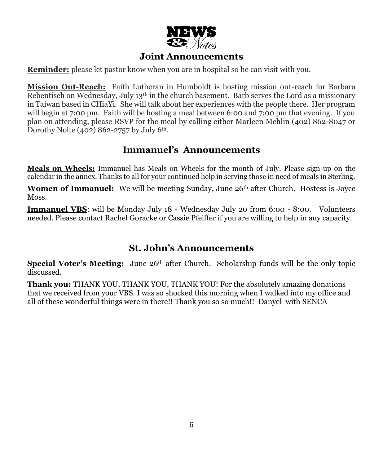

#### **Joint Announcements**

**Reminder:** please let pastor know when you are in hospital so he can visit with you.

**Mission Out-Reach:** Faith Lutheran in Humboldt is hosting mission out-reach for Barbara Rebentisch on Wednesday, July  $13<sup>th</sup>$  in the church basement. Barb serves the Lord as a missionary in Taiwan based in CHiaYi. She will talk about her experiences with the people there. Her program will begin at 7:00 pm. Faith will be hosting a meal between 6:00 and 7:00 pm that evening. If you plan on attending, please RSVP for the meal by calling either Marleen Mehlin (402) 862-8047 or Dorothy Nolte  $(402)$  862-2757 by July 6<sup>th</sup>.

#### **Immanuel's Announcements**

**Meals on Wheels:** Immanuel has Meals on Wheels for the month of July. Please sign up on the calendar in the annex. Thanks to all for your continued help in serving those in need of meals in Sterling.

**Women of Immanuel:** We will be meeting Sunday, June 26<sup>th</sup> after Church. Hostess is Joyce Moss.

**Immanuel VBS**: will be Monday July 18 - Wednesday July 20 from 6:00 - 8:00. Volunteers needed. Please contact Rachel Goracke or Cassie Pfeiffer if you are willing to help in any capacity.

#### **St. John's Announcements**

**Special Voter's Meeting:** June 26<sup>th</sup> after Church. Scholarship funds will be the only topic discussed.

**Thank you:** THANK YOU, THANK YOU, THANK YOU! For the absolutely amazing donations that we received from your VBS. I was so shocked this morning when I walked into my office and all of these wonderful things were in there!! Thank you so so much!! Danyel with SENCA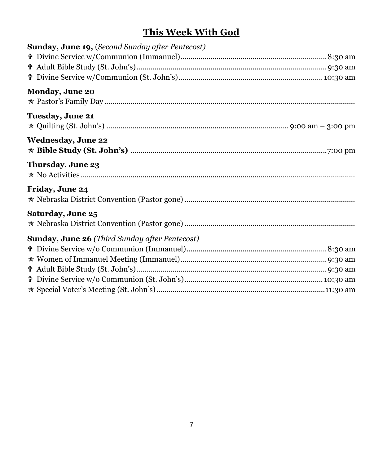### **This Week With God**

| <b>Sunday, June 19, (Second Sunday after Pentecost)</b> |  |
|---------------------------------------------------------|--|
|                                                         |  |
|                                                         |  |
|                                                         |  |
| Monday, June 20                                         |  |
| Tuesday, June 21                                        |  |
| <b>Wednesday, June 22</b>                               |  |
| Thursday, June 23                                       |  |
| Friday, June 24                                         |  |
| Saturday, June 25                                       |  |
| Sunday, June 26 (Third Sunday after Pentecost)          |  |
|                                                         |  |
|                                                         |  |
|                                                         |  |
|                                                         |  |
|                                                         |  |